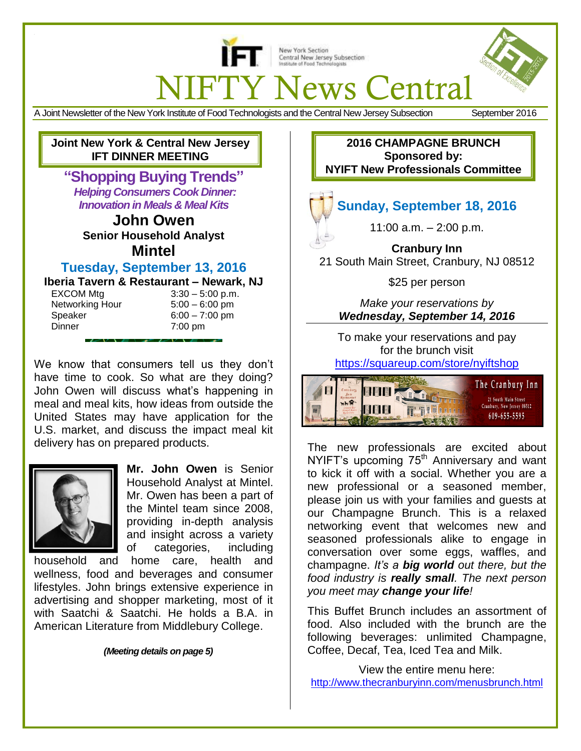

New York Section Central New Jersey Subsection Institute of Food Techno

# **IFTY News Central**

A Joint Newsletter of the New York Institute of Food Technologists and the Central New Jersey Subsection September 2016

**Joint New York & Central New Jersey IFT DINNER MEETING**

**"Shopping Buying Trends"** *Helping Consumers Cook Dinner: Innovation in Meals & Meal Kits*

> **John Owen Senior Household Analyst Mintel**

## **Tuesday, September 13, 2016**

**Iberia Tavern & Restaurant – Newark, NJ**

EXCOM Mtg  $3:30 - 5:00$  p.m. Networking Hour 5:00 – 6:00 pm Speaker 6:00 – 7:00 pm Dinner 7:00 pm

 $\overline{\phantom{a}}$ 

We know that consumers tell us they don't have time to cook. So what are they doing? John Owen will discuss what's happening in meal and meal kits, how ideas from outside the United States may have application for the U.S. market, and discuss the impact meal kit delivery has on prepared products.



**Mr. John Owen** is Senior Household Analyst at Mintel. Mr. Owen has been a part of the Mintel team since 2008, providing in-depth analysis and insight across a variety of categories, including

household and home care, health and wellness, food and beverages and consumer lifestyles. John brings extensive experience in advertising and shopper marketing, most of it with Saatchi & Saatchi. He holds a B.A. in American Literature from Middlebury College.

*(Meeting details on page 5)*

**2016 CHAMPAGNE BRUNCH Sponsored by: NYIFT New Professionals Committee**

## **Sunday, September 18, 2016**

11:00 a.m. – 2:00 p.m.

**Cranbury Inn** 21 South Main Street, Cranbury, NJ 08512

\$25 per person

*Make your reservations by Wednesday, September 14, 2016*

To make your reservations and pay for the brunch visit

<https://squareup.com/store/nyiftshop>



The new professionals are excited about NYIFT's upcoming  $75<sup>th</sup>$  Anniversary and want to kick it off with a social. Whether you are a new professional or a seasoned member, please join us with your families and guests at our Champagne Brunch. This is a relaxed networking event that welcomes new and seasoned professionals alike to engage in conversation over some eggs, waffles, and champagne. *It's a big world out there, but the food industry is really small. The next person you meet may change your life!*

This Buffet Brunch includes an assortment of food. Also included with the brunch are the following beverages: unlimited Champagne, Coffee, Decaf, Tea, Iced Tea and Milk.

View the entire menu here: <http://www.thecranburyinn.com/menusbrunch.html>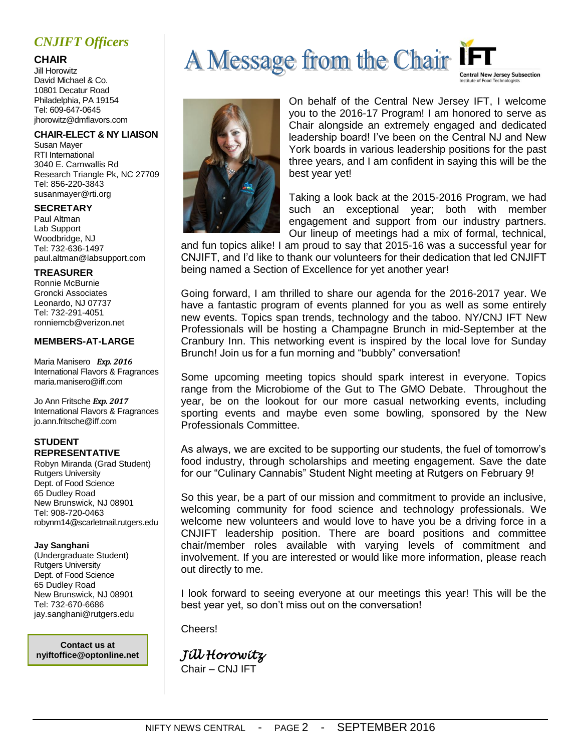## *CNJIFT Officers*

#### **CHAIR**

Jill Horowitz David Michael & Co. 10801 Decatur Road Philadelphia, PA 19154 Tel: 609-647-0645 jhorowitz@dmflavors.com

#### **CHAIR-ELECT & NY LIAISON**

Susan Mayer RTI International 3040 E. Carnwallis Rd Research Triangle Pk, NC 27709 Tel: 856-220-3843 susanmayer@rti.org

#### **SECRETARY**

Paul Altman Lab Support Woodbridge, NJ Tel: 732-636-1497 [paul.altman@labsupport.](mailto:kristina.savas@labsupport)com

#### **TREASURER**

Ronnie McBurnie Groncki Associates Leonardo, NJ 07737 Tel: 732-291-4051 ronniemcb@verizon.net

#### **MEMBERS-AT-LARGE**

Maria Manisero *Exp. 2016* International Flavors & Fragrances [maria.manisero@iff.com](mailto:maria.manisero@iff.com)

Jo Ann Fritsche *Exp. 2017* International Flavors & Fragrances [jo.ann.fritsche@iff.c](mailto:jo.ann.fritsche@iff)om

#### **STUDENT REPRESENTATIVE**

Robyn Miranda (Grad Student) Rutgers University Dept. of Food Science 65 Dudley Road New Brunswick, NJ 08901 Tel: 908-720-0463 robynm14@scarletmail.rutgers.edu

#### **Jay Sanghani**

(Undergraduate Student) Rutgers University Dept. of Food Science 65 Dudley Road New Brunswick, NJ 08901 Tel: 732-670-6686 [jay.sanghani@rutgers.edu](mailto:nzj1@scarletmail.rutgers.edu)

**Contact us at nyiftoffice@optonline.net**





On behalf of the Central New Jersey IFT, I welcome you to the 2016-17 Program! I am honored to serve as Chair alongside an extremely engaged and dedicated leadership board! I've been on the Central NJ and New York boards in various leadership positions for the past three years, and I am confident in saying this will be the best year yet!

Taking a look back at the 2015-2016 Program, we had such an exceptional year; both with member engagement and support from our industry partners. Our lineup of meetings had a mix of formal, technical,

and fun topics alike! I am proud to say that 2015-16 was a successful year for CNJIFT, and I'd like to thank our volunteers for their dedication that led CNJIFT being named a Section of Excellence for yet another year!

Going forward, I am thrilled to share our agenda for the 2016-2017 year. We have a fantastic program of events planned for you as well as some entirely new events. Topics span trends, technology and the taboo. NY/CNJ IFT New Professionals will be hosting a Champagne Brunch in mid-September at the Cranbury Inn. This networking event is inspired by the local love for Sunday Brunch! Join us for a fun morning and "bubbly" conversation!

Some upcoming meeting topics should spark interest in everyone. Topics range from the Microbiome of the Gut to The GMO Debate. Throughout the year, be on the lookout for our more casual networking events, including sporting events and maybe even some bowling, sponsored by the New Professionals Committee.

As always, we are excited to be supporting our students, the fuel of tomorrow's food industry, through scholarships and meeting engagement. Save the date for our "Culinary Cannabis" Student Night meeting at Rutgers on February 9!

So this year, be a part of our mission and commitment to provide an inclusive, welcoming community for food science and technology professionals. We welcome new volunteers and would love to have you be a driving force in a CNJIFT leadership position. There are board positions and committee chair/member roles available with varying levels of commitment and involvement. If you are interested or would like more information, please reach out directly to me.

I look forward to seeing everyone at our meetings this year! This will be the best year yet, so don't miss out on the conversation!

Cheers!

*Jill Horowitz* 

Chair – CNJ IFT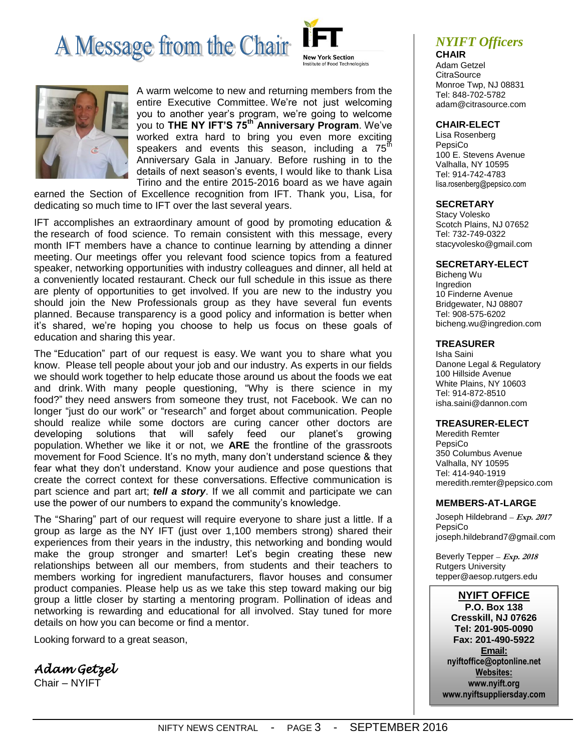## A Message from the Chair





A warm welcome to new and returning members from the entire Executive Committee. We're not just welcoming you to another year's program, we're going to welcome you to **THE NY IFT'S 75th Anniversary Program**. We've worked extra hard to bring you even more exciting speakers and events this season, including a  $75<sup>th</sup>$ Anniversary Gala in January. Before rushing in to the details of next season's events, I would like to thank Lisa Tirino and the entire 2015-2016 board as we have again

earned the Section of Excellence recognition from IFT. Thank you, Lisa, for dedicating so much time to IFT over the last several years.

IFT accomplishes an extraordinary amount of good by promoting education & the research of food science. To remain consistent with this message, every month IFT members have a chance to continue learning by attending a dinner meeting. Our meetings offer you relevant food science topics from a featured speaker, networking opportunities with industry colleagues and dinner, all held at a conveniently located restaurant. Check our full schedule in this issue as there are plenty of opportunities to get involved. If you are new to the industry you should join the New Professionals group as they have several fun events planned. Because transparency is a good policy and information is better when it's shared, we're hoping you choose to help us focus on these goals of education and sharing this year.

The "Education" part of our request is easy. We want you to share what you know. Please tell people about your job and our industry. As experts in our fields we should work together to help educate those around us about the foods we eat and drink. With many people questioning, "Why is there science in my food?" they need answers from someone they trust, not Facebook. We can no longer "just do our work" or "research" and forget about communication. People should realize while some doctors are curing cancer other doctors are developing solutions that will safely feed our planet's growing population. Whether we like it or not, we **ARE** the frontline of the grassroots movement for Food Science. It's no myth, many don't understand science & they fear what they don't understand. Know your audience and pose questions that create the correct context for these conversations. Effective communication is part science and part art; *tell a story*. If we all commit and participate we can use the power of our numbers to expand the community's knowledge.

The "Sharing" part of our request will require everyone to share just a little. If a group as large as the NY IFT (just over 1,100 members strong) shared their experiences from their years in the industry, this networking and bonding would make the group stronger and smarter! Let's begin creating these new relationships between all our members, from students and their teachers to members working for ingredient manufacturers, flavor houses and consumer product companies. Please help us as we take this step toward making our big group a little closer by starting a mentoring program. Pollination of ideas and networking is rewarding and educational for all involved. Stay tuned for more details on how you can become or find a mentor.

Looking forward to a great season,

*Adam Getzel* 

Chair – NYIFT

## *NYIFT Officers*

**CHAIR** Adam Getzel **CitraSource** Monroe Twp, NJ 08831 Tel: 848-702-5782 [adam@citrasource.com](mailto:adam@citrasource.com)

#### **CHAIR-ELECT**

Lisa Rosenberg PepsiCo 100 E. Stevens Avenue Valhalla, NY 10595 Tel: 914-742-4783 [lisa.rosenberg@pepsico.c](mailto:lisa.rosenberg@pepsico)om

#### **SECRETARY**

Stacy Volesko Scotch Plains, NJ 07652 Tel: 732-749-0322 stacyvolesko@gmail.com

#### **SECRETARY-ELECT**

Bicheng Wu Ingredion 10 Finderne Avenue Bridgewater, NJ 08807 Tel: 908-575-6202 bicheng.wu@ingredion.com

#### **TREASURER**

Isha Saini Danone Legal & Regulatory 100 Hillside Avenue White Plains, NY 10603 Tel: 914-872-8510 [isha.saini@dannon.](mailto:isha.saini@dannon)com

#### **TREASURER-ELECT**

Meredith Remter PepsiCo 350 Columbus Avenue Valhalla, NY 10595 Tel: 414-940-1919 [meredith.remter@pepsico.](mailto:meredith.remter@pepsico)com

#### **MEMBERS-AT-LARGE**

Joseph Hildebrand *–* **Exp. 2017** PepsiCo [joseph.hildebrand7@gmail.com](mailto:joseph.hildebrand7@gmail.com)

Beverly Tepper *–* **Exp. 2018** Rutgers University [tepper@aesop.rutgers.edu](mailto:tepper@aesop.rutgers.edu)

#### **NYIFT OFFICE**

**P.O. Box 138 Cresskill, NJ 07626 Tel: 201-905-0090 Fax: 201-490-5922 Email: nyiftoffice@optonline.net Websites: www.nyift.org www.nyiftsuppliersday.com**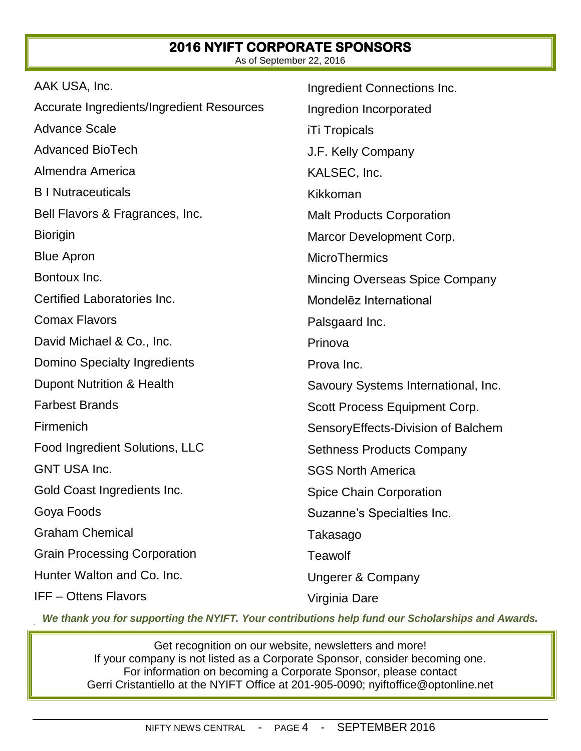#### **2016 NYIFT CORPORATE SPONSORS**  As of September 22, 2016

| AAK USA, Inc.                             | Ingredient Connections Inc.           |
|-------------------------------------------|---------------------------------------|
| Accurate Ingredients/Ingredient Resources | Ingredion Incorporated                |
| <b>Advance Scale</b>                      | <b>iTi Tropicals</b>                  |
| <b>Advanced BioTech</b>                   | J.F. Kelly Company                    |
| Almendra America                          | KALSEC, Inc.                          |
| <b>B</b> I Nutraceuticals                 | Kikkoman                              |
| Bell Flavors & Fragrances, Inc.           | <b>Malt Products Corporation</b>      |
| <b>Biorigin</b>                           | Marcor Development Corp.              |
| <b>Blue Apron</b>                         | <b>MicroThermics</b>                  |
| Bontoux Inc.                              | <b>Mincing Overseas Spice Company</b> |
| Certified Laboratories Inc.               | Mondelez International                |
| <b>Comax Flavors</b>                      | Palsgaard Inc.                        |
| David Michael & Co., Inc.                 | Prinova                               |
| Domino Specialty Ingredients              | Prova Inc.                            |
| Dupont Nutrition & Health                 | Savoury Systems International, Inc.   |
| <b>Farbest Brands</b>                     | Scott Process Equipment Corp.         |
| Firmenich                                 | SensoryEffects-Division of Balchem    |
| Food Ingredient Solutions, LLC            | <b>Sethness Products Company</b>      |
| <b>GNT USA Inc.</b>                       | <b>SGS North America</b>              |
| Gold Coast Ingredients Inc.               | <b>Spice Chain Corporation</b>        |
| Goya Foods                                | Suzanne's Specialties Inc.            |
| <b>Graham Chemical</b>                    | Takasago                              |
| <b>Grain Processing Corporation</b>       | <b>Teawolf</b>                        |
| Hunter Walton and Co. Inc.                | <b>Ungerer &amp; Company</b>          |
| <b>IFF-Ottens Flavors</b>                 | Virginia Dare                         |

*We thank you for supporting the NYIFT. Your contributions help fund our Scholarships and Awards.*

Get recognition on our website, newsletters and more! If your company is not listed as a Corporate Sponsor, consider becoming one. For information on becoming a Corporate Sponsor, please contact Gerri Cristantiello at the NYIFT Office at 201-905-0090; [nyiftoffice@optonline.net](mailto:nyiftoffice@optonline.net)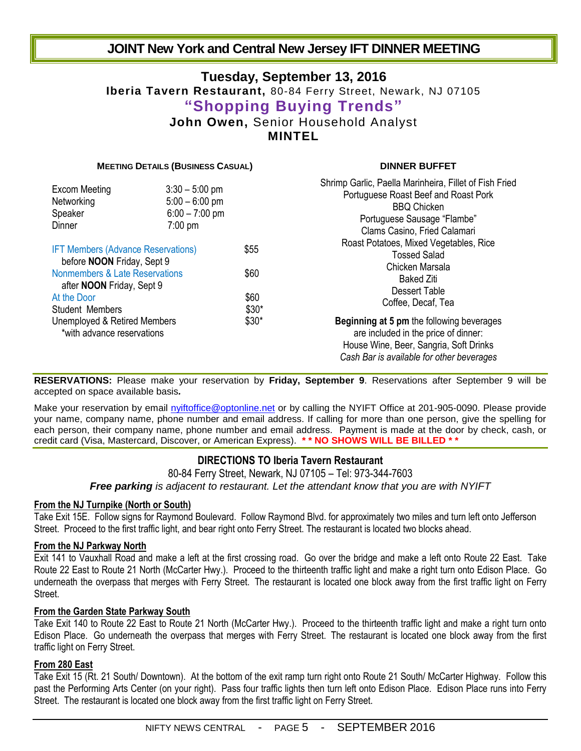## **JOINT New York and Central New Jersey IFT DINNER MEETING**

## **Tuesday, September 13, 2016 Iberia Tavern Restaurant,** 80-84 Ferry Street, Newark, NJ 07105 **"Shopping Buying Trends" John Owen,** Senior Household Analyst **MINTEL**

#### **MEETING DETAILS (BUSINESS CASUAL) DINNER BUFFET**

| <b>Excom Meeting</b><br>Networking<br>Speaker<br>Dinner                              | $3:30 - 5:00$ pm<br>$5:00 - 6:00$ pm<br>$6:00 - 7:00$ pm<br>$7:00$ pm |                                  | Shrimp Garlic, Paella Marinheira, Fillet of Fish Fried<br>Portuguese Roast Beef and Roast Pork<br><b>BBQ Chicken</b><br>Portuguese Sausage "Flambe"<br>Clams Casino, Fried Calamari |  |  |
|--------------------------------------------------------------------------------------|-----------------------------------------------------------------------|----------------------------------|-------------------------------------------------------------------------------------------------------------------------------------------------------------------------------------|--|--|
| <b>IFT Members (Advance Reservations)</b><br>before <b>NOON</b> Friday, Sept 9       |                                                                       | \$55                             | Roast Potatoes, Mixed Vegetables, Rice<br><b>Tossed Salad</b><br>Chicken Marsala                                                                                                    |  |  |
| Nonmembers & Late Reservations<br>after <b>NOON</b> Friday, Sept 9<br>At the Door    |                                                                       | \$60<br>\$60<br>$$30*$<br>$$30*$ | <b>Baked Ziti</b><br>Dessert Table<br>Coffee, Decaf, Tea                                                                                                                            |  |  |
| <b>Student Members</b><br>Unemployed & Retired Members<br>*with advance reservations |                                                                       |                                  | <b>Beginning at 5 pm the following beverages</b><br>are included in the price of dinner:<br>House Wine, Beer, Sangria, Soft Drinks                                                  |  |  |
|                                                                                      |                                                                       |                                  | Cash Bar is available for other beverages                                                                                                                                           |  |  |

**RESERVATIONS:** Please make your reservation by **Friday, September 9**. Reservations after September 9 will be accepted on space available basis*.*

Make your reservation by email [nyiftoffice@optonline.net](mailto:nyiftoffice@optonline.net) or by calling the NYIFT Office at 201-905-0090. Please provide your name, company name, phone number and email address. If calling for more than one person, give the spelling for each person, their company name, phone number and email address. Payment is made at the door by check, cash, or credit card (Visa, Mastercard, Discover, or American Express). **\* \* NO SHOWS WILL BE BILLED \* \***

#### **DIRECTIONS TO Iberia Tavern Restaurant**

80-84 Ferry Street, Newark, NJ 07105 – Tel: 973-344-7603

*Free parking is adjacent to restaurant. Let the attendant know that you are with NYIFT*

#### **From the NJ Turnpike (North or South)**

Take Exit 15E. Follow signs for Raymond Boulevard. Follow Raymond Blvd. for approximately two miles and turn left onto Jefferson Street. Proceed to the first traffic light, and bear right onto Ferry Street. The restaurant is located two blocks ahead.

#### **From the NJ Parkway North**

Exit 141 to Vauxhall Road and make a left at the first crossing road. Go over the bridge and make a left onto Route 22 East. Take Route 22 East to Route 21 North (McCarter Hwy.). Proceed to the thirteenth traffic light and make a right turn onto Edison Place. Go underneath the overpass that merges with Ferry Street. The restaurant is located one block away from the first traffic light on Ferry **Street** 

#### **From the Garden State Parkway South**

Take Exit 140 to Route 22 East to Route 21 North (McCarter Hwy.). Proceed to the thirteenth traffic light and make a right turn onto Edison Place. Go underneath the overpass that merges with Ferry Street. The restaurant is located one block away from the first traffic light on Ferry Street.

#### **From 280 East**

Take Exit 15 (Rt. 21 South/ Downtown). At the bottom of the exit ramp turn right onto Route 21 South/ McCarter Highway. Follow this past the Performing Arts Center (on your right). Pass four traffic lights then turn left onto Edison Place. Edison Place runs into Ferry Street. The restaurant is located one block away from the first traffic light on Ferry Street.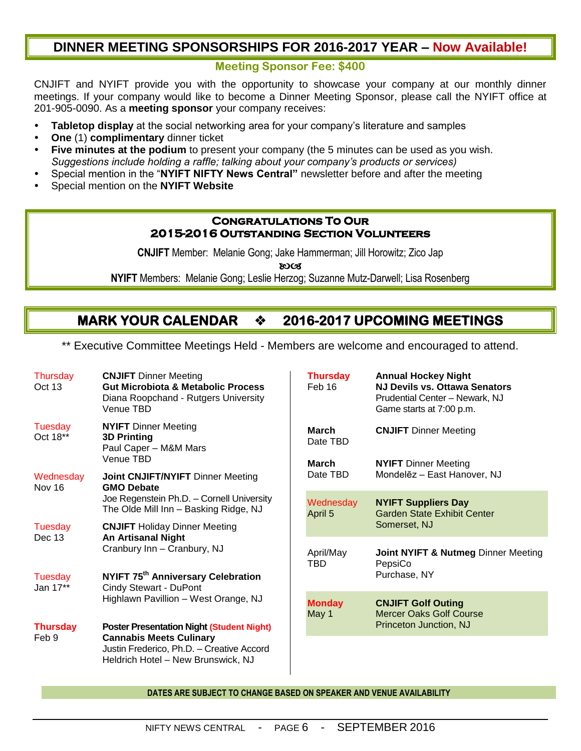## **DINNER MEETING SPONSORSHIPS FOR 2016-2017 YEAR – Now Available!**

#### **Meeting Sponsor Fee: \$400**

CNJIFT and NYIFT provide you with the opportunity to showcase your company at our monthly dinner meetings. If your company would like to become a Dinner Meeting Sponsor, please call the NYIFT office at 201-905-0090. As a **meeting sponsor** your company receives:

- **Tabletop display** at the social networking area for your company's literature and samples
- **One** (1) **complimentary** dinner ticket
- **Five minutes at the podium** to present your company (the 5 minutes can be used as you wish. *Suggestions include holding a raffle; talking about your company's products or services)*
- Special mention in the "**NYIFT NIFTY News Central"** newsletter before and after the meeting
- Special mention on the **NYIFT Website**

#### **Congratulations To Our 2015-2016 Outstanding Section Volunteers**

**CNJIFT** Member: Melanie Gong; Jake Hammerman; Jill Horowitz; Zico Jap

**ROCS** 

**NYIFT** Members: Melanie Gong; Leslie Herzog; Suzanne Mutz-Darwell; Lisa Rosenberg

## **MARK YOUR CALENDAR**  $\rightarrow$  **2016-2017 UPCOMING MEETINGS**

\*\* Executive Committee Meetings Held - Members are welcome and encouraged to attend.

| Thursday<br>Oct 13                              | <b>CNJIFT</b> Dinner Meeting<br><b>Gut Microbiota &amp; Metabolic Process</b><br>Diana Roopchand - Rutgers University<br>Venue TBD                                                                                                                                                        | <b>Thursday</b><br>Feb 16 | <b>Annual Hockey Night</b><br><b>NJ Devils vs. Ottawa Senators</b><br>Prudential Center - Newark, NJ<br>Game starts at 7:00 p.m. |
|-------------------------------------------------|-------------------------------------------------------------------------------------------------------------------------------------------------------------------------------------------------------------------------------------------------------------------------------------------|---------------------------|----------------------------------------------------------------------------------------------------------------------------------|
| Tuesday<br>Oct 18**                             | <b>NYIFT</b> Dinner Meeting<br><b>3D Printing</b><br>Paul Caper - M&M Mars<br>Venue TBD                                                                                                                                                                                                   | <b>March</b><br>Date TBD  | <b>CNJIFT</b> Dinner Meeting                                                                                                     |
| Wednesday<br><b>GMO Debate</b><br>Nov 16        | <b>Joint CNJIFT/NYIFT Dinner Meeting</b>                                                                                                                                                                                                                                                  | <b>March</b><br>Date TBD  | <b>NYIFT</b> Dinner Meeting<br>Mondelēz - East Hanover, NJ                                                                       |
|                                                 | Joe Regenstein Ph.D. - Cornell University<br>The Olde Mill Inn - Basking Ridge, NJ                                                                                                                                                                                                        | Wednesday<br>April 5      | <b>NYIFT Suppliers Day</b><br><b>Garden State Exhibit Center</b><br>Somerset, NJ                                                 |
| Tuesday<br>Dec 13                               | <b>CNJIFT</b> Holiday Dinner Meeting<br>An Artisanal Night<br>Cranbury Inn - Cranbury, NJ                                                                                                                                                                                                 |                           |                                                                                                                                  |
|                                                 |                                                                                                                                                                                                                                                                                           | April/May<br><b>TBD</b>   | Joint NYIFT & Nutmeg Dinner Meeting<br>PepsiCo                                                                                   |
| Tuesday<br>Jan 17**<br><b>Thursday</b><br>Feb 9 | NYIFT 75 <sup>th</sup> Anniversary Celebration<br>Cindy Stewart - DuPont<br>Highlawn Pavillion - West Orange, NJ<br><b>Poster Presentation Night (Student Night)</b><br><b>Cannabis Meets Culinary</b><br>Justin Frederico, Ph.D. - Creative Accord<br>Heldrich Hotel - New Brunswick, NJ |                           | Purchase, NY                                                                                                                     |
|                                                 |                                                                                                                                                                                                                                                                                           | <b>Monday</b><br>May 1    | <b>CNJIFT Golf Outing</b><br><b>Mercer Oaks Golf Course</b><br>Princeton Junction, NJ                                            |
|                                                 |                                                                                                                                                                                                                                                                                           |                           |                                                                                                                                  |

**DATES ARE SUBJECT TO CHANGE BASED ON SPEAKER AND VENUE AVAILABILITY**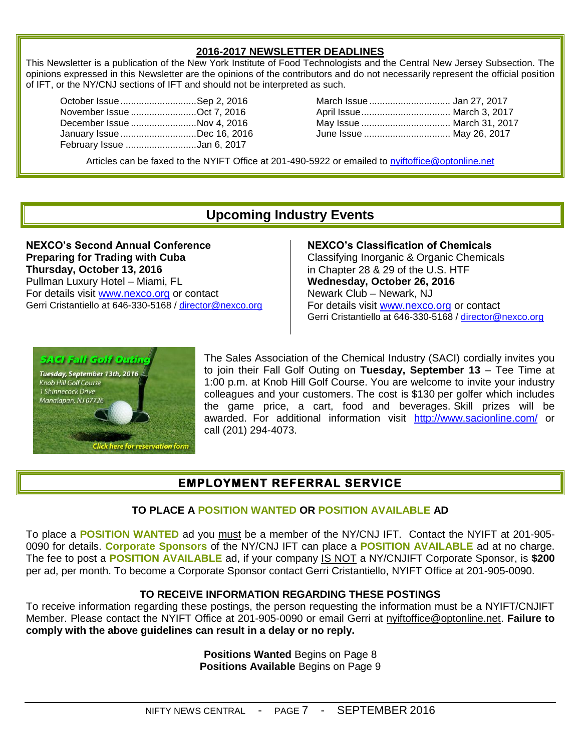#### **2016-2017 NEWSLETTER DEADLINES**

This Newsletter is a publication of the New York Institute of Food Technologists and the Central New Jersey Subsection. The opinions expressed in this Newsletter are the opinions of the contributors and do not necessarily represent the official position of IFT, or the NY/CNJ sections of IFT and should not be interpreted as such.

| October Issue Sep 2, 2016  |  |
|----------------------------|--|
| November Issue Oct 7, 2016 |  |
| December Issue Nov 4, 2016 |  |
| January Issue Dec 16, 2016 |  |
| February Issue Jan 6, 2017 |  |

October Issue .............................Sep 2, 2016 March Issue ............................... Jan 27, 2017 November Issue .........................Oct 7, 2016 April Issue.................................. March 3, 2017 December Issue .........................Nov 4, 2016 May Issue .................................. March 31, 2017 January Issue .............................Dec 16, 2016 June Issue ................................. May 26, 2017

Articles can be faxed to the NYIFT Office at 201-490-5922 or emailed to [nyiftoffice@optonline.net](mailto:nyiftoffice@optonline.net)

## **Upcoming Industry Events**

**NEXCO's Second Annual Conference Preparing for Trading with Cuba Thursday, October 13, 2016** Pullman Luxury Hotel – Miami, FL For details visit [www.nexco.org](http://www.nexco.org/) or contact Gerri Cristantiello at 646-330-5168 / [director@nexco.org](mailto:director@nexco.org) **NEXCO's Classification of Chemicals** Classifying Inorganic & Organic Chemicals in Chapter 28 & 29 of the U.S. HTF **Wednesday, October 26, 2016** Newark Club – Newark, NJ For details visit [www.nexco.org](http://www.nexco.org/) or contact Gerri Cristantiello at 646-330-5168 / [director@nexco.org](mailto:director@nexco.org)



The Sales Association of the Chemical Industry (SACI) cordially invites you to join their Fall Golf Outing on **Tuesday, September 13** – Tee Time at 1:00 p.m. at Knob Hill Golf Course. You are welcome to invite your industry colleagues and your customers. The cost is \$130 per golfer which includes the game price, a cart, food and beverages. Skill prizes will be awarded. For additional information visit <http://www.sacionline.com/> or call (201) 294-4073.

## **EMPLOYMENT REFERRAL SERVICE**

#### **TO PLACE A POSITION WANTED OR POSITION AVAILABLE AD**

To place a **POSITION WANTED** ad you must be a member of the NY/CNJ IFT. Contact the NYIFT at 201-905- 0090 for details. **Corporate Sponsors** of the NY/CNJ IFT can place a **POSITION AVAILABLE** ad at no charge. The fee to post a **POSITION AVAILABLE** ad, if your company IS NOT a NY/CNJIFT Corporate Sponsor, is **\$200** per ad, per month. To become a Corporate Sponsor contact Gerri Cristantiello, NYIFT Office at 201-905-0090.

#### **TO RECEIVE INFORMATION REGARDING THESE POSTINGS**

To receive information regarding these postings, the person requesting the information must be a NYIFT/CNJIFT Member. Please contact the NYIFT Office at 201-905-0090 or email Gerri at [nyiftoffice@optonline.net.](mailto:nyiftoffice@optonline.net) **Failure to comply with the above guidelines can result in a delay or no reply.**

> **Positions Wanted** Begins on Page 8 **Positions Available** Begins on Page 9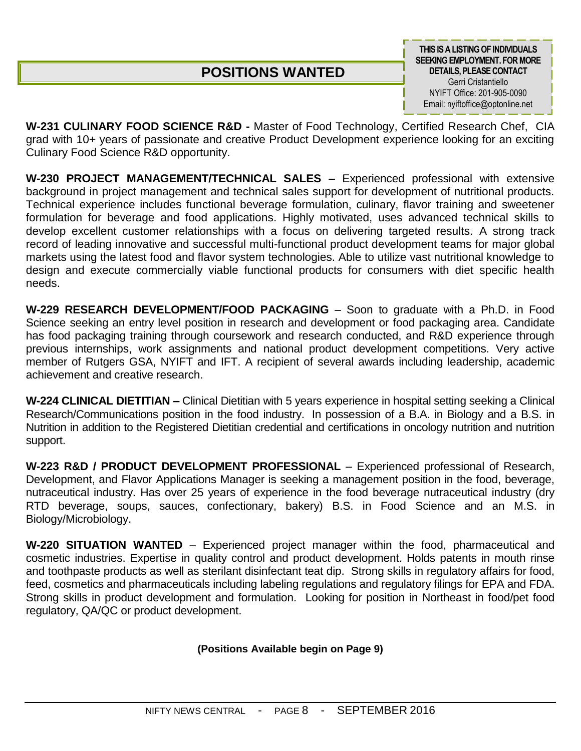## **POSITIONS WANTED**

**THIS IS A LISTING OF INDIVIDUALS SEEKING EMPLOYMENT. FOR MORE DETAILS, PLEASE CONTACT** Gerri Cristantiello NYIFT Office: 201-905-0090 Email: nyiftoffice@optonline.net

**W-231 CULINARY FOOD SCIENCE R&D -** Master of Food Technology, Certified Research Chef, CIA grad with 10+ years of passionate and creative Product Development experience looking for an exciting Culinary Food Science R&D opportunity.

**W-230 PROJECT MANAGEMENT/TECHNICAL SALES –** Experienced professional with extensive background in project management and technical sales support for development of nutritional products. Technical experience includes functional beverage formulation, culinary, flavor training and sweetener formulation for beverage and food applications. Highly motivated, uses advanced technical skills to develop excellent customer relationships with a focus on delivering targeted results. A strong track record of leading innovative and successful multi-functional product development teams for major global markets using the latest food and flavor system technologies. Able to utilize vast nutritional knowledge to design and execute commercially viable functional products for consumers with diet specific health needs.

**W-229 RESEARCH DEVELOPMENT/FOOD PACKAGING** – Soon to graduate with a Ph.D. in Food Science seeking an entry level position in research and development or food packaging area. Candidate has food packaging training through coursework and research conducted, and R&D experience through previous internships, work assignments and national product development competitions. Very active member of Rutgers GSA, NYIFT and IFT. A recipient of several awards including leadership, academic achievement and creative research.

**W-224 CLINICAL DIETITIAN –** Clinical Dietitian with 5 years experience in hospital setting seeking a Clinical Research/Communications position in the food industry. In possession of a B.A. in Biology and a B.S. in Nutrition in addition to the Registered Dietitian credential and certifications in oncology nutrition and nutrition support.

**W-223 R&D / PRODUCT DEVELOPMENT PROFESSIONAL** – Experienced professional of Research, Development, and Flavor Applications Manager is seeking a management position in the food, beverage, nutraceutical industry. Has over 25 years of experience in the food beverage nutraceutical industry (dry RTD beverage, soups, sauces, confectionary, bakery) B.S. in Food Science and an M.S. in Biology/Microbiology.

**W-220 SITUATION WANTED** – Experienced project manager within the food, pharmaceutical and cosmetic industries. Expertise in quality control and product development. Holds patents in mouth rinse and toothpaste products as well as sterilant disinfectant teat dip. Strong skills in regulatory affairs for food, feed, cosmetics and pharmaceuticals including labeling regulations and regulatory filings for EPA and FDA. Strong skills in product development and formulation. Looking for position in Northeast in food/pet food regulatory, QA/QC or product development.

#### **(Positions Available begin on Page 9)**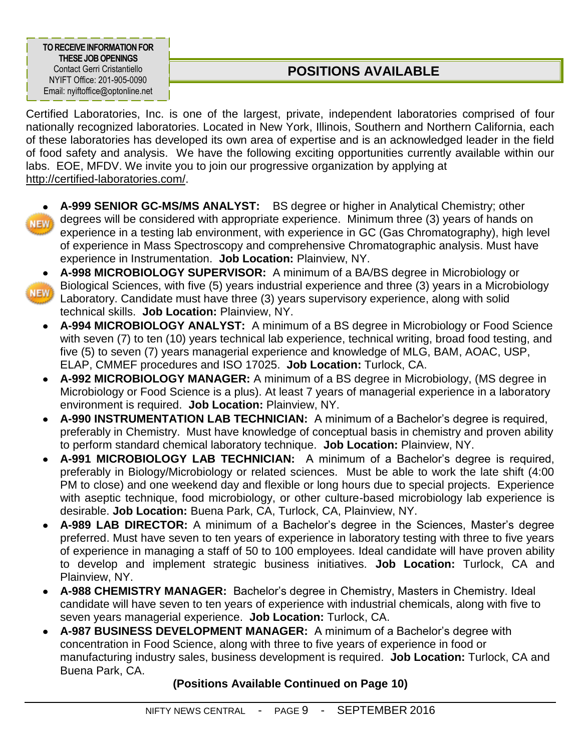**TO RECEIVE INFORMATION FOR THESE JOBOPENINGS** Contact Gerri Cristantiello NYIFT Office: 201-905-0090 Email: nyiftoffice@optonline.net

## **POSITIONS AVAILABLE**

Certified Laboratories, Inc. is one of the largest, private, independent laboratories comprised of four nationally recognized laboratories. Located in New York, Illinois, Southern and Northern California, each of these laboratories has developed its own area of expertise and is an acknowledged leader in the field of food safety and analysis. We have the following exciting opportunities currently available within our labs. EOE, MFDV. We invite you to join our progressive organization by applying at [http://certified-laboratories.com/.](http://certified-laboratories.com/)

- 
- **A-999 SENIOR GC-MS/MS ANALYST:** BS degree or higher in Analytical Chemistry; other degrees will be considered with appropriate experience. Minimum three (3) years of hands on experience in a testing lab environment, with experience in GC (Gas Chromatography), high level of experience in Mass Spectroscopy and comprehensive Chromatographic analysis. Must have experience in Instrumentation. **Job Location:** Plainview, NY.
- **NEW**
- **A-998 MICROBIOLOGY SUPERVISOR:** A minimum of a BA/BS degree in Microbiology or Biological Sciences, with five (5) years industrial experience and three (3) years in a Microbiology Laboratory. Candidate must have three (3) years supervisory experience, along with solid technical skills. **Job Location:** Plainview, NY.
	- **A-994 MICROBIOLOGY ANALYST:** A minimum of a BS degree in Microbiology or Food Science with seven (7) to ten (10) years technical lab experience, technical writing, broad food testing, and five (5) to seven (7) years managerial experience and knowledge of MLG, BAM, AOAC, USP, ELAP, CMMEF procedures and ISO 17025. **Job Location:** Turlock, CA.
	- **A-992 MICROBIOLOGY MANAGER:** A minimum of a BS degree in Microbiology, (MS degree in  $\bullet$ Microbiology or Food Science is a plus). At least 7 years of managerial experience in a laboratory environment is required. **Job Location:** Plainview, NY.
	- **A-990 INSTRUMENTATION LAB TECHNICIAN:** A minimum of a Bachelor's degree is required,  $\bullet$ preferably in Chemistry. Must have knowledge of conceptual basis in chemistry and proven ability to perform standard chemical laboratory technique. **Job Location:** Plainview, NY.
	- **A-991 MICROBIOLOGY LAB TECHNICIAN:** A minimum of a Bachelor's degree is required, preferably in Biology/Microbiology or related sciences. Must be able to work the late shift (4:00 PM to close) and one weekend day and flexible or long hours due to special projects. Experience with aseptic technique, food microbiology, or other culture-based microbiology lab experience is desirable. **Job Location:** Buena Park, CA, Turlock, CA, Plainview, NY.
	- **A-989 LAB DIRECTOR:** A minimum of a Bachelor's degree in the Sciences, Master's degree  $\bullet$ preferred. Must have seven to ten years of experience in laboratory testing with three to five years of experience in managing a staff of 50 to 100 employees. Ideal candidate will have proven ability to develop and implement strategic business initiatives. **Job Location:** Turlock, CA and Plainview, NY.
	- **A-988 CHEMISTRY MANAGER:** Bachelor's degree in Chemistry, Masters in Chemistry. Ideal candidate will have seven to ten years of experience with industrial chemicals, along with five to seven years managerial experience. **Job Location:** Turlock, CA.
	- **A-987 BUSINESS DEVELOPMENT MANAGER:** A minimum of a Bachelor's degree with concentration in Food Science, along with three to five years of experience in food or manufacturing industry sales, business development is required. **Job Location:** Turlock, CA and Buena Park, CA.

## **(Positions Available Continued on Page 10)**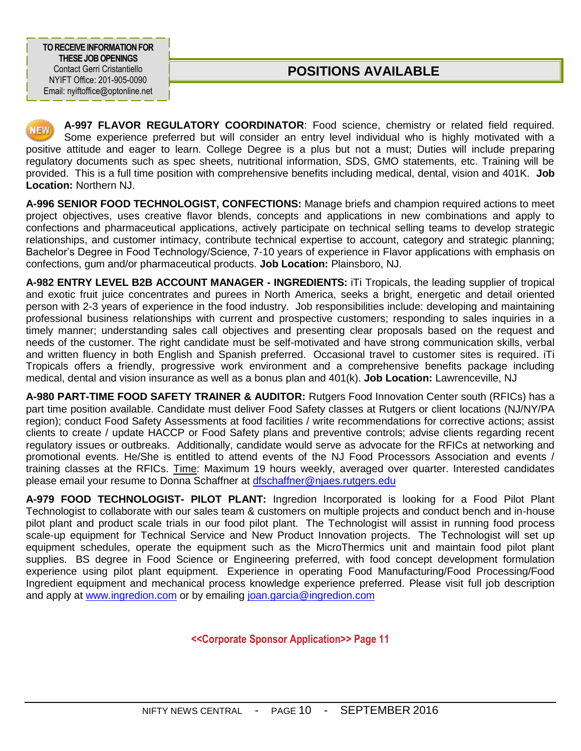**TO RECEIVE INFORMATION FOR THESE JOBOPENINGS** Contact Gerri Cristantiello NYIFT Office: 201-905-0090 Email: nyiftoffice@optonline.net

## **POSITIONS AVAILABLE**

**A-997 FLAVOR REGULATORY COORDINATOR**: Food science, chemistry or related field required. Some experience preferred but will consider an entry level individual who is highly motivated with a positive attitude and eager to learn. College Degree is a plus but not a must; Duties will include preparing regulatory documents such as spec sheets, nutritional information, SDS, GMO statements, etc. Training will be provided. This is a full time position with comprehensive benefits including medical, dental, vision and 401K. **Job Location:** Northern NJ.

**A-996 SENIOR FOOD TECHNOLOGIST, CONFECTIONS:** Manage briefs and champion required actions to meet project objectives, uses creative flavor blends, concepts and applications in new combinations and apply to confections and pharmaceutical applications, actively participate on technical selling teams to develop strategic relationships, and customer intimacy, contribute technical expertise to account, category and strategic planning; Bachelor's Degree in Food Technology/Science, 7-10 years of experience in Flavor applications with emphasis on confections, gum and/or pharmaceutical products. **Job Location:** Plainsboro, NJ.

**A-982 ENTRY LEVEL B2B ACCOUNT MANAGER - INGREDIENTS:** iTi Tropicals, the leading supplier of tropical and exotic fruit juice concentrates and purees in North America, seeks a bright, energetic and detail oriented person with 2-3 years of experience in the food industry. Job responsibilities include: developing and maintaining professional business relationships with current and prospective customers; responding to sales inquiries in a timely manner; understanding sales call objectives and presenting clear proposals based on the request and needs of the customer. The right candidate must be self-motivated and have strong communication skills, verbal and written fluency in both English and Spanish preferred. Occasional travel to customer sites is required. iTi Tropicals offers a friendly, progressive work environment and a comprehensive benefits package including medical, dental and vision insurance as well as a bonus plan and 401(k). **Job Location:** Lawrenceville, NJ

**A-980 PART-TIME FOOD SAFETY TRAINER & AUDITOR:** Rutgers Food Innovation Center south (RFICs) has a part time position available. Candidate must deliver Food Safety classes at Rutgers or client locations (NJ/NY/PA region); conduct Food Safety Assessments at food facilities / write recommendations for corrective actions; assist clients to create / update HACCP or Food Safety plans and preventive controls; advise clients regarding recent regulatory issues or outbreaks. Additionally, candidate would serve as advocate for the RFICs at networking and promotional events. He/She is entitled to attend events of the NJ Food Processors Association and events / training classes at the RFICs. Time: Maximum 19 hours weekly, averaged over quarter. Interested candidates please email your resume to Donna Schaffner at [dfschaffner@njaes.rutgers.edu](mailto:dfschaffner@njaes.rutgers.edu)

**A-979 FOOD TECHNOLOGIST- PILOT PLANT:** Ingredion Incorporated is looking for a Food Pilot Plant Technologist to collaborate with our sales team & customers on multiple projects and conduct bench and in-house pilot plant and product scale trials in our food pilot plant. The Technologist will assist in running food process scale-up equipment for Technical Service and New Product Innovation projects. The Technologist will set up equipment schedules, operate the equipment such as the MicroThermics unit and maintain food pilot plant supplies. BS degree in Food Science or Engineering preferred, with food concept development formulation experience using pilot plant equipment. Experience in operating Food Manufacturing/Food Processing/Food Ingredient equipment and mechanical process knowledge experience preferred. Please visit full job description and apply at [www.ingredion.com](file:///C:/Documents%20and%20Settings/Gerri%20Cristantiello/My%20Documents/Shared-Accounts/NYIFT/Newsletters/Newsletters%202014-2015/www.ingredion.com) or by emailing [joan.garcia@ingredion.com](mailto:joan.garcia@ingredion.com)

**<<Corporate Sponsor Application>> Page 11**